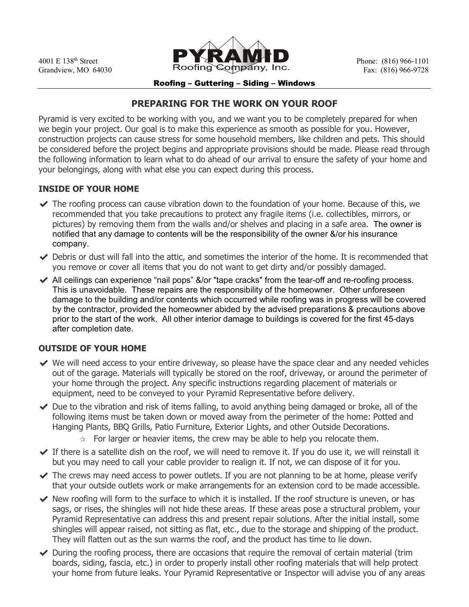

#### Roofing – Guttering – Siding – Windows

# **PREPARING FOR THE WORK ON YOUR ROOF**

Pyramid is very excited to be working with you, and we want you to be completely prepared for when we begin your project. Our goal is to make this experience as smooth as possible for you. However, construction projects can cause stress for some household members, like children and pets. This should be considered before the project begins and appropriate provisions should be made. Please read through the following information to learn what to do ahead of our arrival to ensure the safety of your home and your belongings, along with what else you can expect during this process.

#### **INSIDE OF YOUR HOME**

- $\blacktriangledown$  The roofing process can cause vibration down to the foundation of your home. Because of this, we recommended that you take precautions to protect any fragile items (i.e. collectibles, mirrors, or pictures) by removing them from the walls and/or shelves and placing in a safe area. The owner is notified that any damage to contents will be the responsibility of the owner &/or his insurance company.
- $\blacktriangleright$  Debris or dust will fall into the attic, and sometimes the interior of the home. It is recommended that you remove or cover all items that you do not want to get dirty and/or possibly damaged.
- $\blacktriangleright$  All ceilings can experience "nail pops"  $\&$ /or "tape cracks" from the tear-off and re-roofing process. This is unavoidable. These repairs are the responsibility of the homeowner. Other unforeseen damage to the building and/or contents which occurred while roofing was in progress will be covered by the contractor, provided the homeowner abided by the advised preparations & precautions above prior to the start of the work. All other interior damage to buildings is covered for the first 45-days after completion date.

# **OUTSIDE OF YOUR HOME**

- $\vee$  We will need access to your entire driveway, so please have the space clear and any needed vehicles out of the garage. Materials will typically be stored on the roof, driveway, or around the perimeter of your home through the project. Any specific instructions regarding placement of materials or equipment, need to be conveyed to your Pyramid Representative before delivery.
- $\vee$  Due to the vibration and risk of items falling, to avoid anything being damaged or broke, all of the following items must be taken down or moved away from the perimeter of the home: Potted and Hanging Plants, BBQ Grills, Patio Furniture, Exterior Lights, and other Outside Decorations.
	- $\alpha$  For larger or heavier items, the crew may be able to help you relocate them.
- $\blacktriangleright$  If there is a satellite dish on the roof, we will need to remove it. If you do use it, we will reinstall it but you may need to call your cable provider to realign it. If not, we can dispose of it for you.
- $\blacktriangleright$  The crews may need access to power outlets. If you are not planning to be at home, please verify that your outside outlets work or make arrangements for an extension cord to be made accessible.
- $\blacktriangleright$  New roofing will form to the surface to which it is installed. If the roof structure is uneven, or has sags, or rises, the shingles will not hide these areas. If these areas pose a structural problem, your Pyramid Representative can address this and present repair solutions. After the initial install, some shingles will appear raised, not sitting as flat, etc., due to the storage and shipping of the product. They will flatten out as the sun warms the roof, and the product has time to lie down.
- $\vee$  During the roofing process, there are occasions that require the removal of certain material (trim boards, siding, fascia, etc.) in order to properly install other roofing materials that will help protect your home from future leaks. Your Pyramid Representative or Inspector will advise you of any areas